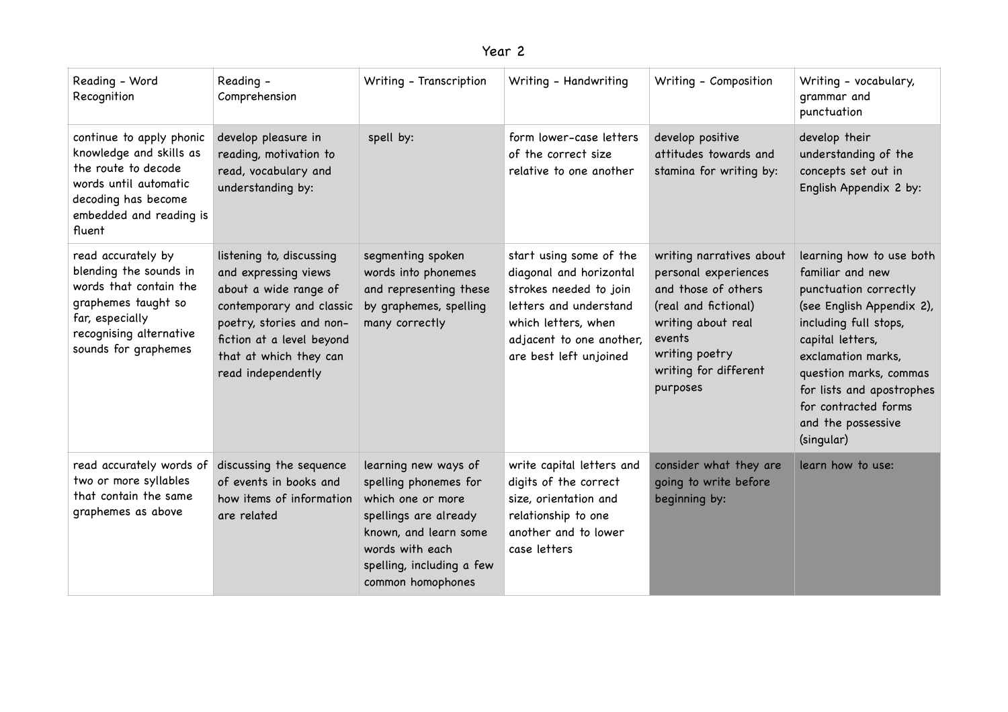| ear |  |
|-----|--|
|-----|--|

| Reading - Word<br>Recognition                                                                                                                                       | Reading -<br>Comprehension                                                                                                                                                                                     | Writing - Transcription                                                                                                                                                                   | Writing - Handwriting                                                                                                                                                               | Writing - Composition                                                                                                                                                                  | Writing - vocabulary,<br>grammar and<br>punctuation                                                                                                                                                                                                                                      |
|---------------------------------------------------------------------------------------------------------------------------------------------------------------------|----------------------------------------------------------------------------------------------------------------------------------------------------------------------------------------------------------------|-------------------------------------------------------------------------------------------------------------------------------------------------------------------------------------------|-------------------------------------------------------------------------------------------------------------------------------------------------------------------------------------|----------------------------------------------------------------------------------------------------------------------------------------------------------------------------------------|------------------------------------------------------------------------------------------------------------------------------------------------------------------------------------------------------------------------------------------------------------------------------------------|
| continue to apply phonic<br>knowledge and skills as<br>the route to decode<br>words until automatic<br>decoding has become<br>embedded and reading is<br>fluent     | develop pleasure in<br>reading, motivation to<br>read, vocabulary and<br>understanding by:                                                                                                                     | spell by:                                                                                                                                                                                 | form lower-case letters<br>of the correct size<br>relative to one another                                                                                                           | develop positive<br>attitudes towards and<br>stamina for writing by:                                                                                                                   | develop their<br>understanding of the<br>concepts set out in<br>English Appendix 2 by:                                                                                                                                                                                                   |
| read accurately by<br>blending the sounds in<br>words that contain the<br>graphemes taught so<br>far, especially<br>recognising alternative<br>sounds for graphemes | listening to, discussing<br>and expressing views<br>about a wide range of<br>contemporary and classic<br>poetry, stories and non-<br>fiction at a level beyond<br>that at which they can<br>read independently | segmenting spoken<br>words into phonemes<br>and representing these<br>by graphemes, spelling<br>many correctly                                                                            | start using some of the<br>diagonal and horizontal<br>strokes needed to join<br>letters and understand<br>which letters, when<br>adjacent to one another,<br>are best left unjoined | writing narratives about<br>personal experiences<br>and those of others<br>(real and fictional)<br>writing about real<br>events<br>writing poetry<br>writing for different<br>purposes | learning how to use both<br>familiar and new<br>punctuation correctly<br>(see English Appendix 2),<br>including full stops,<br>capital letters,<br>exclamation marks,<br>question marks, commas<br>for lists and apostrophes<br>for contracted forms<br>and the possessive<br>(singular) |
| read accurately words of<br>two or more syllables<br>that contain the same<br>graphemes as above                                                                    | discussing the sequence<br>of events in books and<br>how items of information<br>are related                                                                                                                   | learning new ways of<br>spelling phonemes for<br>which one or more<br>spellings are already<br>known, and learn some<br>words with each<br>spelling, including a few<br>common homophones | write capital letters and<br>digits of the correct<br>size, orientation and<br>relationship to one<br>another and to lower<br>case letters                                          | consider what they are<br>going to write before<br>beginning by:                                                                                                                       | learn how to use:                                                                                                                                                                                                                                                                        |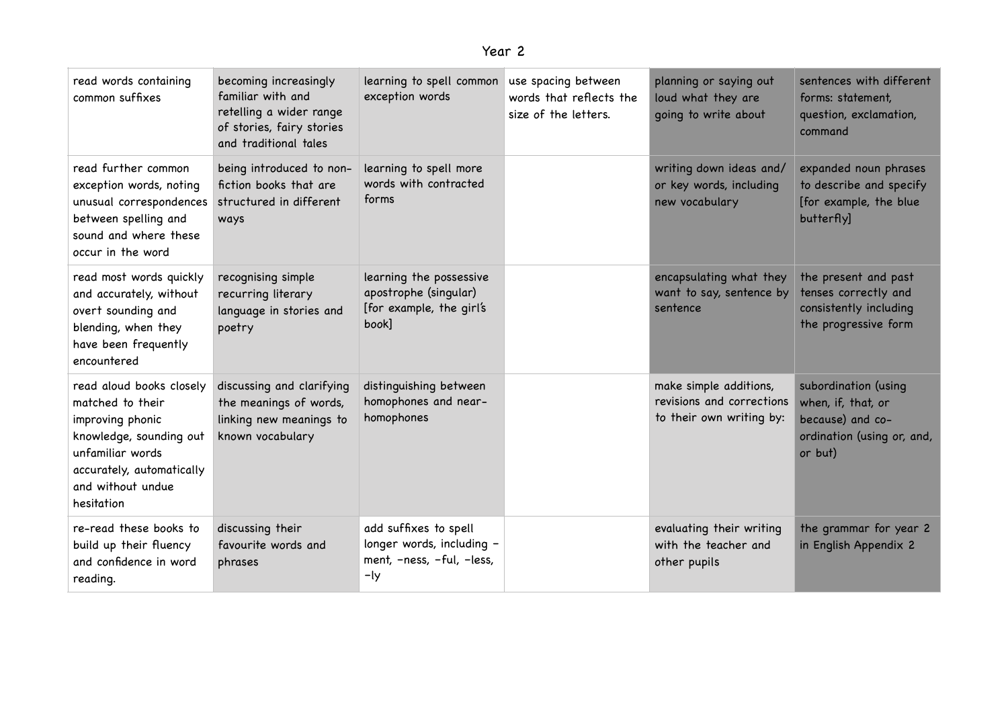| ear |  |
|-----|--|
|-----|--|

| read words containing<br>common suffixes                                                                                                                                        | becoming increasingly<br>familiar with and<br>retelling a wider range<br>of stories, fairy stories<br>and traditional tales | learning to spell common<br>exception words                                            | use spacing between<br>words that reflects the<br>size of the letters. | planning or saying out<br>loud what they are<br>going to write about            | sentences with different<br>forms: statement,<br>question, exclamation,<br>command                      |
|---------------------------------------------------------------------------------------------------------------------------------------------------------------------------------|-----------------------------------------------------------------------------------------------------------------------------|----------------------------------------------------------------------------------------|------------------------------------------------------------------------|---------------------------------------------------------------------------------|---------------------------------------------------------------------------------------------------------|
| read further common<br>exception words, noting<br>unusual correspondences<br>between spelling and<br>sound and where these<br>occur in the word                                 | being introduced to non-<br>fiction books that are<br>structured in different<br>ways                                       | learning to spell more<br>words with contracted<br>forms                               |                                                                        | writing down ideas and/<br>or key words, including<br>new vocabulary            | expanded noun phrases<br>to describe and specify<br>[for example, the blue<br>butterfly]                |
| read most words quickly<br>and accurately, without<br>overt sounding and<br>blending, when they<br>have been frequently<br>encountered                                          | recognising simple<br>recurring literary<br>language in stories and<br>poetry                                               | learning the possessive<br>apostrophe (singular)<br>[for example, the girl's<br>book]  |                                                                        | encapsulating what they<br>want to say, sentence by<br>sentence                 | the present and past<br>tenses correctly and<br>consistently including<br>the progressive form          |
| read aloud books closely<br>matched to their<br>improving phonic<br>knowledge, sounding out<br>unfamiliar words<br>accurately, automatically<br>and without undue<br>hesitation | discussing and clarifying<br>the meanings of words,<br>linking new meanings to<br>known vocabulary                          | distinguishing between<br>homophones and near-<br>homophones                           |                                                                        | make simple additions,<br>revisions and corrections<br>to their own writing by: | subordination (using<br>when, if, that, or<br>because) and co-<br>ordination (using or, and,<br>or but) |
| re-read these books to<br>build up their fluency<br>and confidence in word<br>reading.                                                                                          | discussing their<br>favourite words and<br>phrases                                                                          | add suffixes to spell<br>longer words, including -<br>ment, -ness, -ful, -less,<br>-ly |                                                                        | evaluating their writing<br>with the teacher and<br>other pupils                | the grammar for year 2<br>in English Appendix 2                                                         |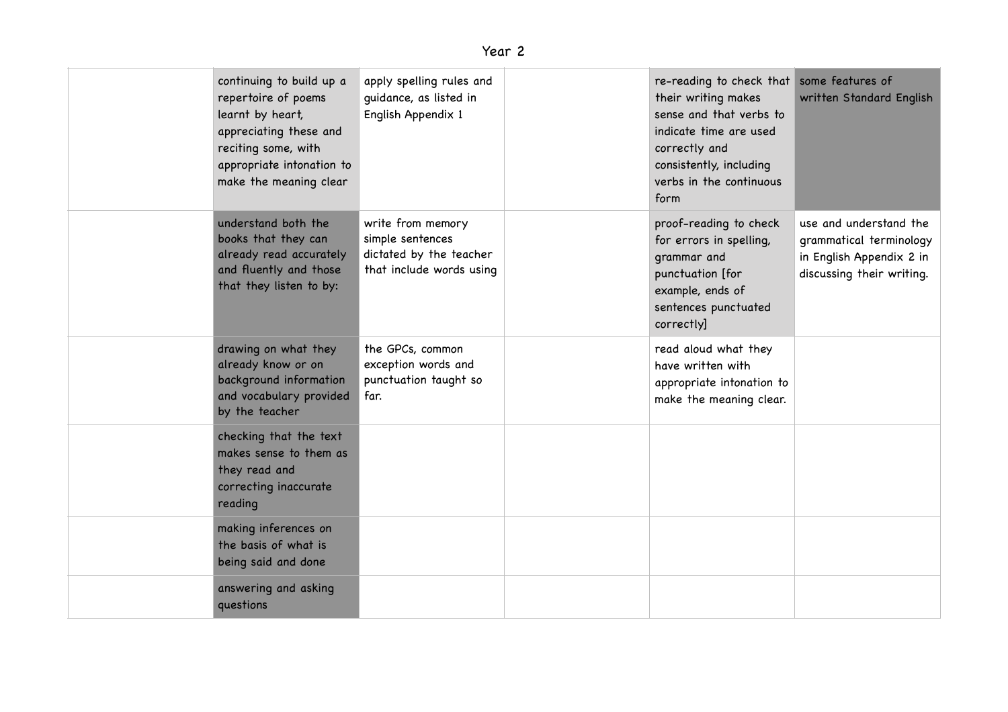| continuing to build up a<br>repertoire of poems<br>learnt by heart,<br>appreciating these and<br>reciting some, with<br>appropriate intonation to<br>make the meaning clear | apply spelling rules and<br>guidance, as listed in<br>English Appendix 1                     | re-reading to check that some features of<br>their writing makes<br>sense and that verbs to<br>indicate time are used<br>correctly and<br>consistently, including<br>verbs in the continuous<br>form | written Standard English                                                                                   |
|-----------------------------------------------------------------------------------------------------------------------------------------------------------------------------|----------------------------------------------------------------------------------------------|------------------------------------------------------------------------------------------------------------------------------------------------------------------------------------------------------|------------------------------------------------------------------------------------------------------------|
| understand both the<br>books that they can<br>already read accurately<br>and fluently and those<br>that they listen to by:                                                  | write from memory<br>simple sentences<br>dictated by the teacher<br>that include words using | proof-reading to check<br>for errors in spelling,<br>grammar and<br>punctuation [for<br>example, ends of<br>sentences punctuated<br>correctly]                                                       | use and understand the<br>grammatical terminology<br>in English Appendix 2 in<br>discussing their writing. |
| drawing on what they<br>already know or on<br>background information<br>and vocabulary provided<br>by the teacher                                                           | the GPCs, common<br>exception words and<br>punctuation taught so<br>far.                     | read aloud what they<br>have written with<br>appropriate intonation to<br>make the meaning clear.                                                                                                    |                                                                                                            |
| checking that the text<br>makes sense to them as<br>they read and<br>correcting inaccurate<br>reading                                                                       |                                                                                              |                                                                                                                                                                                                      |                                                                                                            |
| making inferences on<br>the basis of what is<br>being said and done                                                                                                         |                                                                                              |                                                                                                                                                                                                      |                                                                                                            |
| answering and asking<br>questions                                                                                                                                           |                                                                                              |                                                                                                                                                                                                      |                                                                                                            |